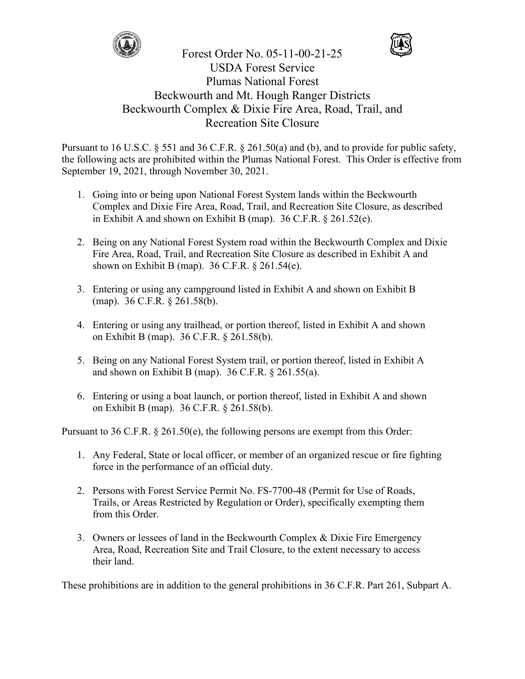



Forest Order No. 05-11-00-21-25 USDA Forest Service Plumas National Forest Beckwourth and Mt. Hough Ranger Districts Beckwourth Complex & Dixie Fire Area, Road, Trail, and Recreation Site Closure

Pursuant to 16 U.S.C. § 551 and 36 C.F.R. § 261.50(a) and (b), and to provide for public safety, the following acts are prohibited within the Plumas National Forest. This Order is effective from September 19, 2021, through November 30, 2021.

- 1. Going into or being upon National Forest System lands within the Beckwourth Complex and Dixie Fire Area, Road, Trail, and Recreation Site Closure, as described in Exhibit A and shown on Exhibit B (map). 36 C.F.R. § 261.52(e).
- 2. Being on any National Forest System road within the Beckwourth Complex and Dixie Fire Area, Road, Trail, and Recreation Site Closure as described in Exhibit A and shown on Exhibit B (map). 36 C.F.R. § 261.54(e).
- 3. Entering or using any campground listed in Exhibit A and shown on Exhibit B (map). 36 C.F.R. § 261.58(b).
- 4. Entering or using any trailhead, or portion thereof, listed in Exhibit A and shown on Exhibit B (map). 36 C.F.R. § 261.58(b).
- 5. Being on any National Forest System trail, or portion thereof, listed in Exhibit A and shown on Exhibit B (map). 36 C.F.R. § 261.55(a).
- 6. Entering or using a boat launch, or portion thereof, listed in Exhibit A and shown on Exhibit B (map). 36 C.F.R. § 261.58(b).

Pursuant to 36 C.F.R. § 261.50(e), the following persons are exempt from this Order:

- 1. Any Federal, State or local officer, or member of an organized rescue or fire fighting force in the performance of an official duty.
- 2. Persons with Forest Service Permit No. FS-7700-48 (Permit for Use of Roads, Trails, or Areas Restricted by Regulation or Order), specifically exempting them from this Order.
- 3. Owners or lessees of land in the Beckwourth Complex & Dixie Fire Emergency Area, Road, Recreation Site and Trail Closure, to the extent necessary to access their land.

These prohibitions are in addition to the general prohibitions in 36 C.F.R. Part 261, Subpart A.